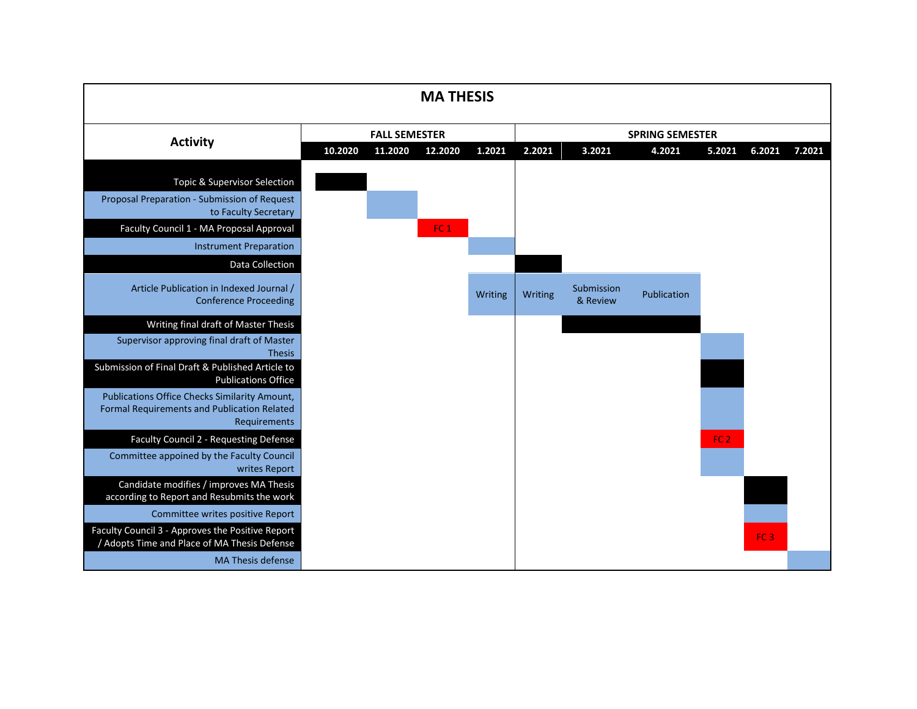